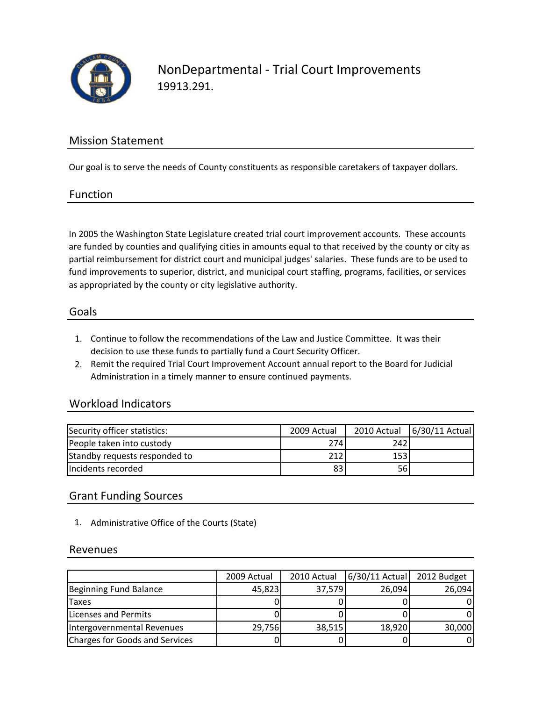

# Mission Statement

Our goal is to serve the needs of County constituents as responsible caretakers of taxpayer dollars.

#### Function

In 2005 the Washington State Legislature created trial court improvement accounts. These accounts are funded by counties and qualifying cities in amounts equal to that received by the county or city as partial reimbursement for district court and municipal judges' salaries. These funds are to be used to fund improvements to superior, district, and municipal court staffing, programs, facilities, or services as appropriated by the county or city legislative authority.

#### Goals

- 1. Continue to follow the recommendations of the Law and Justice Committee. It was their decision to use these funds to partially fund a Court Security Officer.
- 2. Remit the required Trial Court Improvement Account annual report to the Board for Judicial Administration in a timely manner to ensure continued payments.

## Workload Indicators

| Security officer statistics:  | 2009 Actual |      | 2010 Actual 6/30/11 Actual |
|-------------------------------|-------------|------|----------------------------|
| People taken into custody     | 274         | 242  |                            |
| Standby requests responded to | 212         | 153I |                            |
| Incidents recorded            | 83          | 56I  |                            |

## Grant Funding Sources

1. Administrative Office of the Courts (State)

#### Revenues

|                                | 2009 Actual | 2010 Actual | 6/30/11 Actual | 2012 Budget |
|--------------------------------|-------------|-------------|----------------|-------------|
| Beginning Fund Balance         | 45,823      | 37,579      | 26,094         | 26,094      |
| <b>Taxes</b>                   |             |             |                | 01          |
| Licenses and Permits           |             |             |                | ΩI          |
| Intergovernmental Revenues     | 29,756      | 38,515      | 18,920         | 30,000      |
| Charges for Goods and Services |             |             |                | 01          |